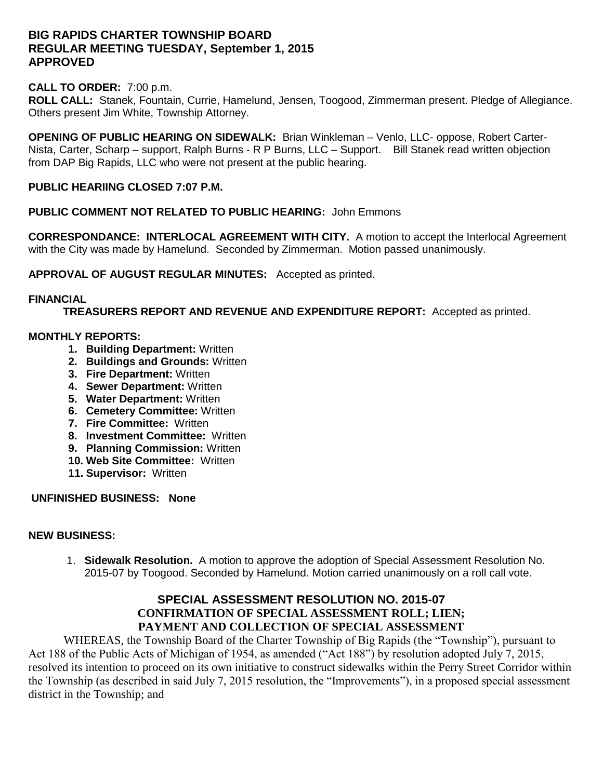## **BIG RAPIDS CHARTER TOWNSHIP BOARD REGULAR MEETING TUESDAY, September 1, 2015 APPROVED**

#### **CALL TO ORDER:** 7:00 p.m.

**ROLL CALL:** Stanek, Fountain, Currie, Hamelund, Jensen, Toogood, Zimmerman present. Pledge of Allegiance. Others present Jim White, Township Attorney.

**OPENING OF PUBLIC HEARING ON SIDEWALK:** Brian Winkleman – Venlo, LLC- oppose, Robert Carter-Nista, Carter, Scharp – support, Ralph Burns - R P Burns, LLC – Support. Bill Stanek read written objection from DAP Big Rapids, LLC who were not present at the public hearing.

### **PUBLIC HEARIING CLOSED 7:07 P.M.**

**PUBLIC COMMENT NOT RELATED TO PUBLIC HEARING:** John Emmons

**CORRESPONDANCE: INTERLOCAL AGREEMENT WITH CITY.** A motion to accept the Interlocal Agreement with the City was made by Hamelund. Seconded by Zimmerman. Motion passed unanimously.

**APPROVAL OF AUGUST REGULAR MINUTES:** Accepted as printed.

### **FINANCIAL**

**TREASURERS REPORT AND REVENUE AND EXPENDITURE REPORT:** Accepted as printed.

#### **MONTHLY REPORTS:**

- **1. Building Department:** Written
- **2. Buildings and Grounds:** Written
- **3. Fire Department:** Written
- **4. Sewer Department:** Written
- **5. Water Department:** Written
- **6. Cemetery Committee:** Written
- **7. Fire Committee:** Written
- **8. Investment Committee:** Written
- **9. Planning Commission:** Written
- **10. Web Site Committee:** Written
- **11. Supervisor:** Written

**UNFINISHED BUSINESS: None**

#### **NEW BUSINESS:**

1. **Sidewalk Resolution.** A motion to approve the adoption of Special Assessment Resolution No. 2015-07 by Toogood. Seconded by Hamelund. Motion carried unanimously on a roll call vote.

## **SPECIAL ASSESSMENT RESOLUTION NO. 2015-07 CONFIRMATION OF SPECIAL ASSESSMENT ROLL; LIEN; PAYMENT AND COLLECTION OF SPECIAL ASSESSMENT**

WHEREAS, the Township Board of the Charter Township of Big Rapids (the "Township"), pursuant to Act 188 of the Public Acts of Michigan of 1954, as amended ("Act 188") by resolution adopted July 7, 2015, resolved its intention to proceed on its own initiative to construct sidewalks within the Perry Street Corridor within the Township (as described in said July 7, 2015 resolution, the "Improvements"), in a proposed special assessment district in the Township; and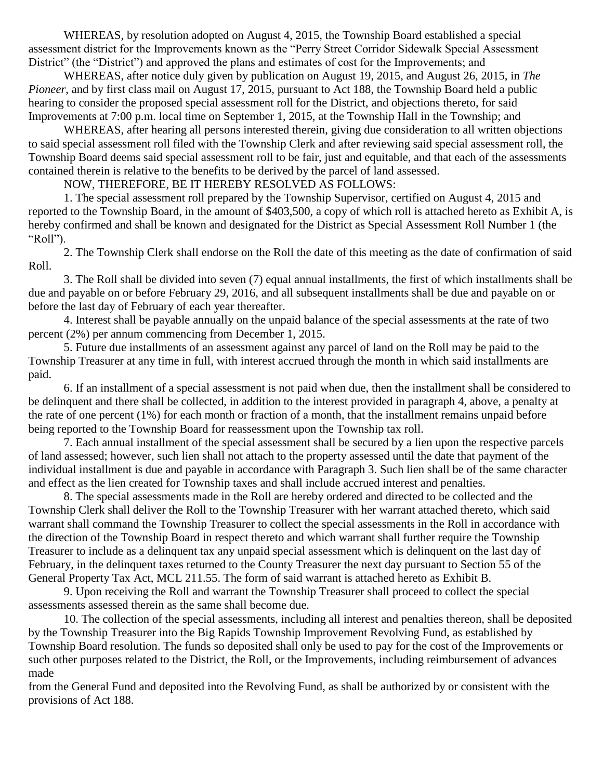WHEREAS, by resolution adopted on August 4, 2015, the Township Board established a special assessment district for the Improvements known as the "Perry Street Corridor Sidewalk Special Assessment District" (the "District") and approved the plans and estimates of cost for the Improvements; and

WHEREAS, after notice duly given by publication on August 19, 2015, and August 26, 2015, in *The Pioneer*, and by first class mail on August 17, 2015, pursuant to Act 188, the Township Board held a public hearing to consider the proposed special assessment roll for the District, and objections thereto, for said Improvements at 7:00 p.m. local time on September 1, 2015, at the Township Hall in the Township; and

WHEREAS, after hearing all persons interested therein, giving due consideration to all written objections to said special assessment roll filed with the Township Clerk and after reviewing said special assessment roll, the Township Board deems said special assessment roll to be fair, just and equitable, and that each of the assessments contained therein is relative to the benefits to be derived by the parcel of land assessed.

NOW, THEREFORE, BE IT HEREBY RESOLVED AS FOLLOWS:

1. The special assessment roll prepared by the Township Supervisor, certified on August 4, 2015 and reported to the Township Board, in the amount of \$403,500, a copy of which roll is attached hereto as Exhibit A, is hereby confirmed and shall be known and designated for the District as Special Assessment Roll Number 1 (the "Roll").

2. The Township Clerk shall endorse on the Roll the date of this meeting as the date of confirmation of said Roll.

3. The Roll shall be divided into seven (7) equal annual installments, the first of which installments shall be due and payable on or before February 29, 2016, and all subsequent installments shall be due and payable on or before the last day of February of each year thereafter.

4. Interest shall be payable annually on the unpaid balance of the special assessments at the rate of two percent (2%) per annum commencing from December 1, 2015.

5. Future due installments of an assessment against any parcel of land on the Roll may be paid to the Township Treasurer at any time in full, with interest accrued through the month in which said installments are paid.

6. If an installment of a special assessment is not paid when due, then the installment shall be considered to be delinquent and there shall be collected, in addition to the interest provided in paragraph 4, above, a penalty at the rate of one percent (1%) for each month or fraction of a month, that the installment remains unpaid before being reported to the Township Board for reassessment upon the Township tax roll.

7. Each annual installment of the special assessment shall be secured by a lien upon the respective parcels of land assessed; however, such lien shall not attach to the property assessed until the date that payment of the individual installment is due and payable in accordance with Paragraph 3. Such lien shall be of the same character and effect as the lien created for Township taxes and shall include accrued interest and penalties.

8. The special assessments made in the Roll are hereby ordered and directed to be collected and the Township Clerk shall deliver the Roll to the Township Treasurer with her warrant attached thereto, which said warrant shall command the Township Treasurer to collect the special assessments in the Roll in accordance with the direction of the Township Board in respect thereto and which warrant shall further require the Township Treasurer to include as a delinquent tax any unpaid special assessment which is delinquent on the last day of February, in the delinquent taxes returned to the County Treasurer the next day pursuant to Section 55 of the General Property Tax Act, MCL 211.55. The form of said warrant is attached hereto as Exhibit B.

9. Upon receiving the Roll and warrant the Township Treasurer shall proceed to collect the special assessments assessed therein as the same shall become due.

10. The collection of the special assessments, including all interest and penalties thereon, shall be deposited by the Township Treasurer into the Big Rapids Township Improvement Revolving Fund, as established by Township Board resolution. The funds so deposited shall only be used to pay for the cost of the Improvements or such other purposes related to the District, the Roll, or the Improvements, including reimbursement of advances made

from the General Fund and deposited into the Revolving Fund, as shall be authorized by or consistent with the provisions of Act 188.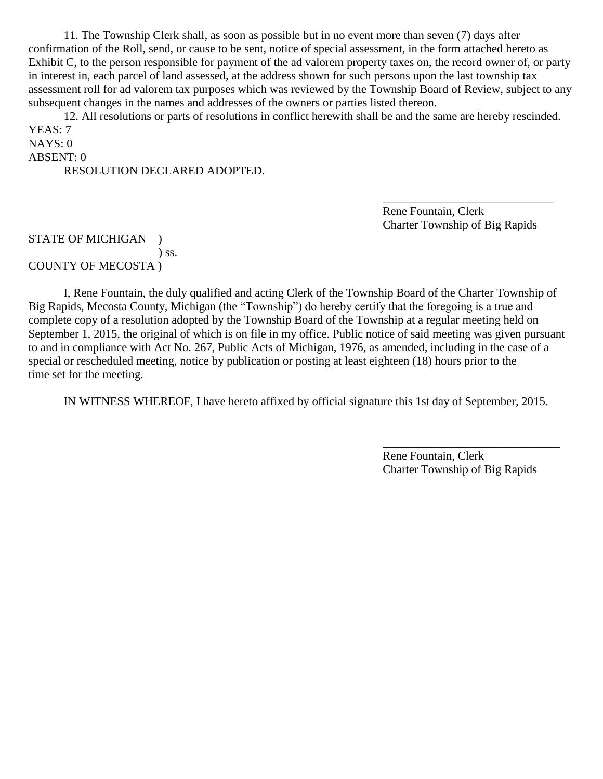11. The Township Clerk shall, as soon as possible but in no event more than seven (7) days after confirmation of the Roll, send, or cause to be sent, notice of special assessment, in the form attached hereto as Exhibit C, to the person responsible for payment of the ad valorem property taxes on, the record owner of, or party in interest in, each parcel of land assessed, at the address shown for such persons upon the last township tax assessment roll for ad valorem tax purposes which was reviewed by the Township Board of Review, subject to any subsequent changes in the names and addresses of the owners or parties listed thereon.

12. All resolutions or parts of resolutions in conflict herewith shall be and the same are hereby rescinded. YEAS: 7 NAYS: 0

ABSENT: 0 RESOLUTION DECLARED ADOPTED.

> Rene Fountain, Clerk Charter Township of Big Rapids

\_\_\_\_\_\_\_\_\_\_\_\_\_\_\_\_\_\_\_\_\_\_\_\_\_\_\_\_\_

STATE OF MICHIGAN ) ) ss. COUNTY OF MECOSTA )

I, Rene Fountain, the duly qualified and acting Clerk of the Township Board of the Charter Township of Big Rapids, Mecosta County, Michigan (the "Township") do hereby certify that the foregoing is a true and complete copy of a resolution adopted by the Township Board of the Township at a regular meeting held on September 1, 2015, the original of which is on file in my office. Public notice of said meeting was given pursuant to and in compliance with Act No. 267, Public Acts of Michigan, 1976, as amended, including in the case of a special or rescheduled meeting, notice by publication or posting at least eighteen (18) hours prior to the time set for the meeting.

IN WITNESS WHEREOF, I have hereto affixed by official signature this 1st day of September, 2015.

Rene Fountain, Clerk Charter Township of Big Rapids

\_\_\_\_\_\_\_\_\_\_\_\_\_\_\_\_\_\_\_\_\_\_\_\_\_\_\_\_\_\_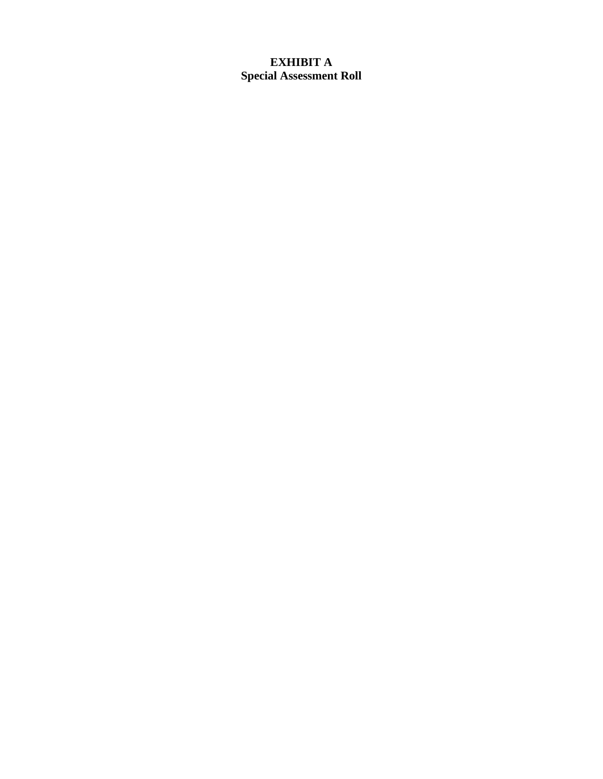# **EXHIBIT A Special Assessment Roll**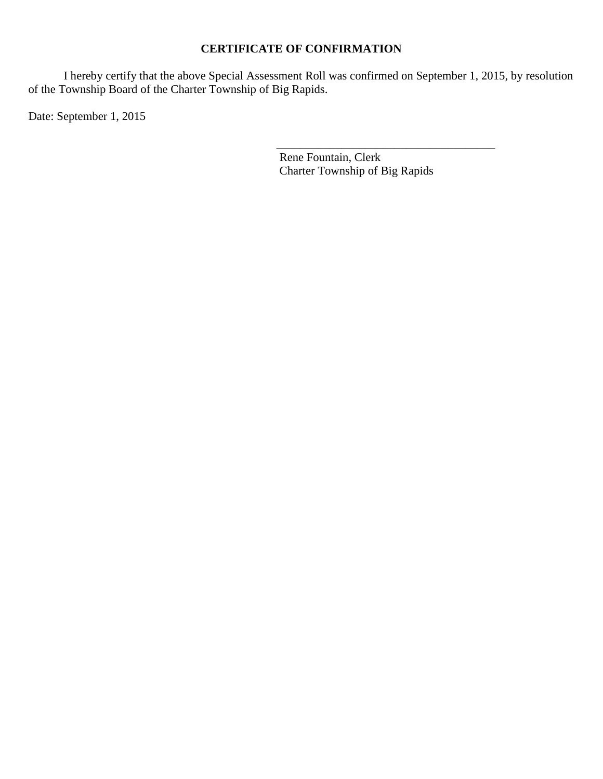# **CERTIFICATE OF CONFIRMATION**

I hereby certify that the above Special Assessment Roll was confirmed on September 1, 2015, by resolution of the Township Board of the Charter Township of Big Rapids.

Date: September 1, 2015

 $\overline{\phantom{a}}$  , which is a set of the set of the set of the set of the set of the set of the set of the set of the set of the set of the set of the set of the set of the set of the set of the set of the set of the set of th Rene Fountain, Clerk Charter Township of Big Rapids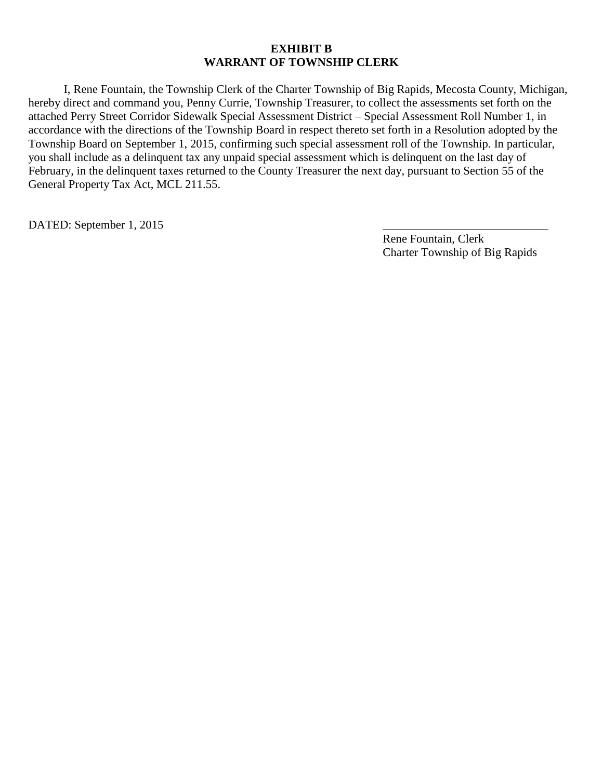#### **EXHIBIT B WARRANT OF TOWNSHIP CLERK**

I, Rene Fountain, the Township Clerk of the Charter Township of Big Rapids, Mecosta County, Michigan, hereby direct and command you, Penny Currie, Township Treasurer, to collect the assessments set forth on the attached Perry Street Corridor Sidewalk Special Assessment District – Special Assessment Roll Number 1, in accordance with the directions of the Township Board in respect thereto set forth in a Resolution adopted by the Township Board on September 1, 2015, confirming such special assessment roll of the Township. In particular, you shall include as a delinquent tax any unpaid special assessment which is delinquent on the last day of February, in the delinquent taxes returned to the County Treasurer the next day, pursuant to Section 55 of the General Property Tax Act, MCL 211.55.

DATED: September 1, 2015

Rene Fountain, Clerk Charter Township of Big Rapids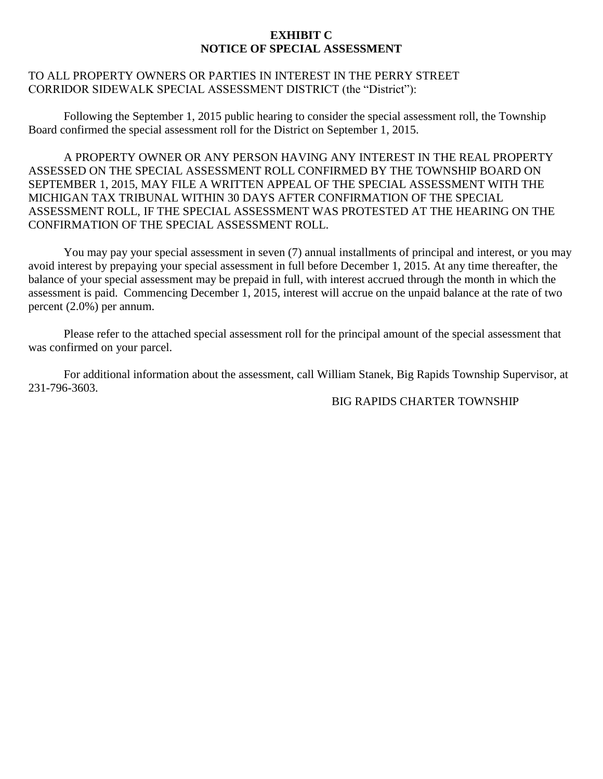## **EXHIBIT C NOTICE OF SPECIAL ASSESSMENT**

## TO ALL PROPERTY OWNERS OR PARTIES IN INTEREST IN THE PERRY STREET CORRIDOR SIDEWALK SPECIAL ASSESSMENT DISTRICT (the "District"):

Following the September 1, 2015 public hearing to consider the special assessment roll, the Township Board confirmed the special assessment roll for the District on September 1, 2015.

A PROPERTY OWNER OR ANY PERSON HAVING ANY INTEREST IN THE REAL PROPERTY ASSESSED ON THE SPECIAL ASSESSMENT ROLL CONFIRMED BY THE TOWNSHIP BOARD ON SEPTEMBER 1, 2015, MAY FILE A WRITTEN APPEAL OF THE SPECIAL ASSESSMENT WITH THE MICHIGAN TAX TRIBUNAL WITHIN 30 DAYS AFTER CONFIRMATION OF THE SPECIAL ASSESSMENT ROLL, IF THE SPECIAL ASSESSMENT WAS PROTESTED AT THE HEARING ON THE CONFIRMATION OF THE SPECIAL ASSESSMENT ROLL.

You may pay your special assessment in seven (7) annual installments of principal and interest, or you may avoid interest by prepaying your special assessment in full before December 1, 2015. At any time thereafter, the balance of your special assessment may be prepaid in full, with interest accrued through the month in which the assessment is paid. Commencing December 1, 2015, interest will accrue on the unpaid balance at the rate of two percent (2.0%) per annum.

Please refer to the attached special assessment roll for the principal amount of the special assessment that was confirmed on your parcel.

For additional information about the assessment, call William Stanek, Big Rapids Township Supervisor, at 231-796-3603.

### BIG RAPIDS CHARTER TOWNSHIP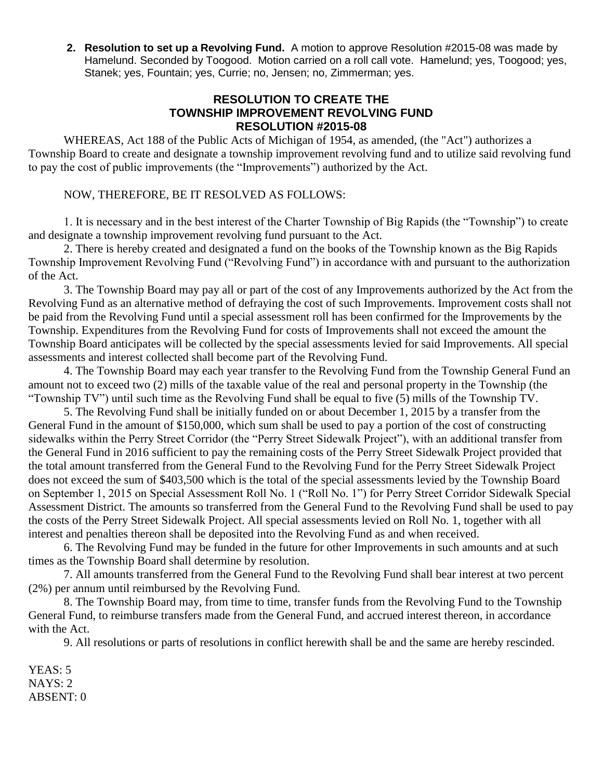**2. Resolution to set up a Revolving Fund.** A motion to approve Resolution #2015-08 was made by Hamelund. Seconded by Toogood. Motion carried on a roll call vote. Hamelund; yes, Toogood; yes, Stanek; yes, Fountain; yes, Currie; no, Jensen; no, Zimmerman; yes.

## **RESOLUTION TO CREATE THE TOWNSHIP IMPROVEMENT REVOLVING FUND RESOLUTION #2015-08**

WHEREAS, Act 188 of the Public Acts of Michigan of 1954, as amended, (the "Act") authorizes a Township Board to create and designate a township improvement revolving fund and to utilize said revolving fund to pay the cost of public improvements (the "Improvements") authorized by the Act.

## NOW, THEREFORE, BE IT RESOLVED AS FOLLOWS:

1. It is necessary and in the best interest of the Charter Township of Big Rapids (the "Township") to create and designate a township improvement revolving fund pursuant to the Act.

2. There is hereby created and designated a fund on the books of the Township known as the Big Rapids Township Improvement Revolving Fund ("Revolving Fund") in accordance with and pursuant to the authorization of the Act.

3. The Township Board may pay all or part of the cost of any Improvements authorized by the Act from the Revolving Fund as an alternative method of defraying the cost of such Improvements. Improvement costs shall not be paid from the Revolving Fund until a special assessment roll has been confirmed for the Improvements by the Township. Expenditures from the Revolving Fund for costs of Improvements shall not exceed the amount the Township Board anticipates will be collected by the special assessments levied for said Improvements. All special assessments and interest collected shall become part of the Revolving Fund.

4. The Township Board may each year transfer to the Revolving Fund from the Township General Fund an amount not to exceed two (2) mills of the taxable value of the real and personal property in the Township (the "Township TV") until such time as the Revolving Fund shall be equal to five (5) mills of the Township TV.

5. The Revolving Fund shall be initially funded on or about December 1, 2015 by a transfer from the General Fund in the amount of \$150,000, which sum shall be used to pay a portion of the cost of constructing sidewalks within the Perry Street Corridor (the "Perry Street Sidewalk Project"), with an additional transfer from the General Fund in 2016 sufficient to pay the remaining costs of the Perry Street Sidewalk Project provided that the total amount transferred from the General Fund to the Revolving Fund for the Perry Street Sidewalk Project does not exceed the sum of \$403,500 which is the total of the special assessments levied by the Township Board on September 1, 2015 on Special Assessment Roll No. 1 ("Roll No. 1") for Perry Street Corridor Sidewalk Special Assessment District. The amounts so transferred from the General Fund to the Revolving Fund shall be used to pay the costs of the Perry Street Sidewalk Project. All special assessments levied on Roll No. 1, together with all interest and penalties thereon shall be deposited into the Revolving Fund as and when received.

6. The Revolving Fund may be funded in the future for other Improvements in such amounts and at such times as the Township Board shall determine by resolution.

7. All amounts transferred from the General Fund to the Revolving Fund shall bear interest at two percent (2%) per annum until reimbursed by the Revolving Fund.

8. The Township Board may, from time to time, transfer funds from the Revolving Fund to the Township General Fund, to reimburse transfers made from the General Fund, and accrued interest thereon, in accordance with the Act.

9. All resolutions or parts of resolutions in conflict herewith shall be and the same are hereby rescinded.

YEAS: 5 NAYS: 2 ABSENT: 0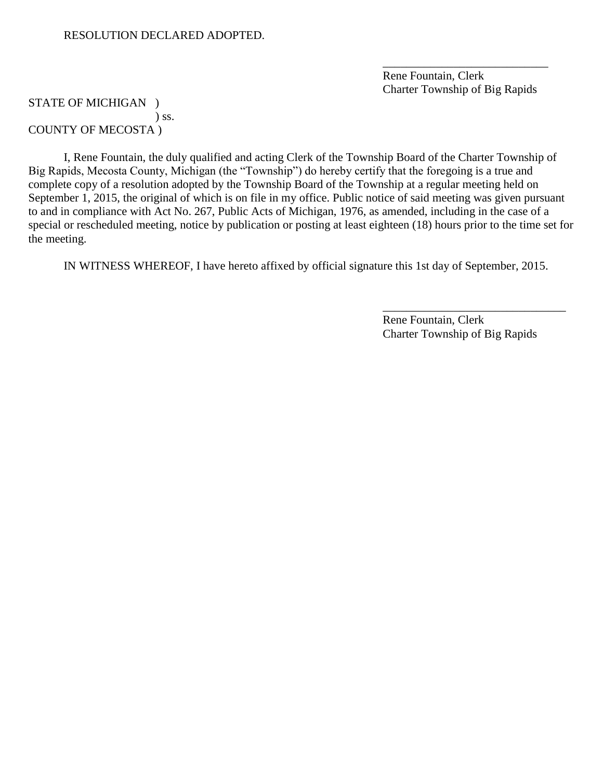Rene Fountain, Clerk Charter Township of Big Rapids

\_\_\_\_\_\_\_\_\_\_\_\_\_\_\_\_\_\_\_\_\_\_\_\_\_\_\_\_

### STATE OF MICHIGAN ) ) ss. COUNTY OF MECOSTA )

I, Rene Fountain, the duly qualified and acting Clerk of the Township Board of the Charter Township of Big Rapids, Mecosta County, Michigan (the "Township") do hereby certify that the foregoing is a true and complete copy of a resolution adopted by the Township Board of the Township at a regular meeting held on September 1, 2015, the original of which is on file in my office. Public notice of said meeting was given pursuant to and in compliance with Act No. 267, Public Acts of Michigan, 1976, as amended, including in the case of a special or rescheduled meeting, notice by publication or posting at least eighteen (18) hours prior to the time set for the meeting.

IN WITNESS WHEREOF, I have hereto affixed by official signature this 1st day of September, 2015.

Rene Fountain, Clerk Charter Township of Big Rapids

\_\_\_\_\_\_\_\_\_\_\_\_\_\_\_\_\_\_\_\_\_\_\_\_\_\_\_\_\_\_\_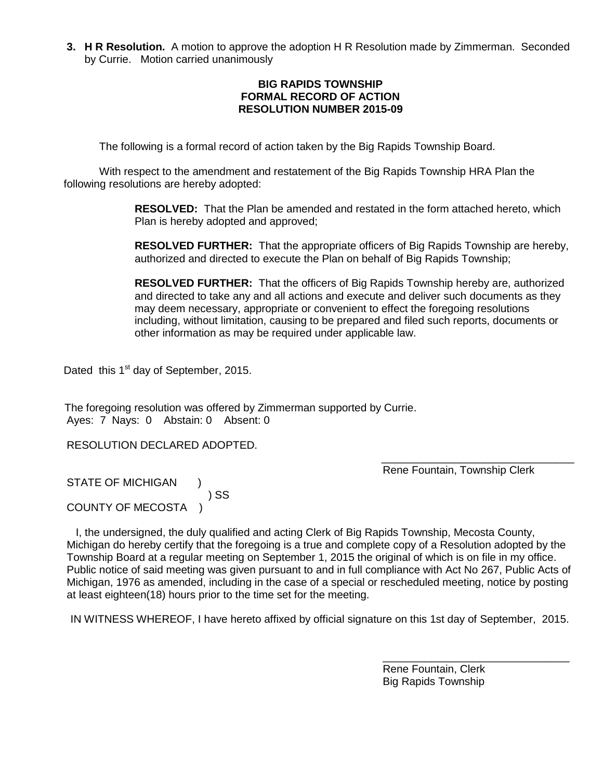**3. H R Resolution.** A motion to approve the adoption H R Resolution made by Zimmerman. Seconded by Currie. Motion carried unanimously

#### **BIG RAPIDS TOWNSHIP FORMAL RECORD OF ACTION RESOLUTION NUMBER 2015-09**

The following is a formal record of action taken by the Big Rapids Township Board.

With respect to the amendment and restatement of the Big Rapids Township HRA Plan the following resolutions are hereby adopted:

> **RESOLVED:** That the Plan be amended and restated in the form attached hereto, which Plan is hereby adopted and approved;

**RESOLVED FURTHER:** That the appropriate officers of Big Rapids Township are hereby, authorized and directed to execute the Plan on behalf of Big Rapids Township;

**RESOLVED FURTHER:** That the officers of Big Rapids Township hereby are, authorized and directed to take any and all actions and execute and deliver such documents as they may deem necessary, appropriate or convenient to effect the foregoing resolutions including, without limitation, causing to be prepared and filed such reports, documents or other information as may be required under applicable law.

Dated this 1<sup>st</sup> day of September, 2015.

 The foregoing resolution was offered by Zimmerman supported by Currie. Ayes: 7 Nays: 0Abstain: 0 Absent: 0

RESOLUTION DECLARED ADOPTED.

 $\overline{\phantom{a}}$  , and the contract of the contract of the contract of the contract of the contract of the contract of the contract of the contract of the contract of the contract of the contract of the contract of the contrac Rene Fountain, Township Clerk

STATE OF MICHIGAN ) SS COUNTY OF MECOSTA )

 I, the undersigned, the duly qualified and acting Clerk of Big Rapids Township, Mecosta County, Michigan do hereby certify that the foregoing is a true and complete copy of a Resolution adopted by the Township Board at a regular meeting on September 1, 2015 the original of which is on file in my office. Public notice of said meeting was given pursuant to and in full compliance with Act No 267, Public Acts of Michigan, 1976 as amended, including in the case of a special or rescheduled meeting, notice by posting at least eighteen(18) hours prior to the time set for the meeting.

IN WITNESS WHEREOF, I have hereto affixed by official signature on this 1st day of September, 2015.

 Rene Fountain, Clerk Big Rapids Township

\_\_\_\_\_\_\_\_\_\_\_\_\_\_\_\_\_\_\_\_\_\_\_\_\_\_\_\_\_\_\_